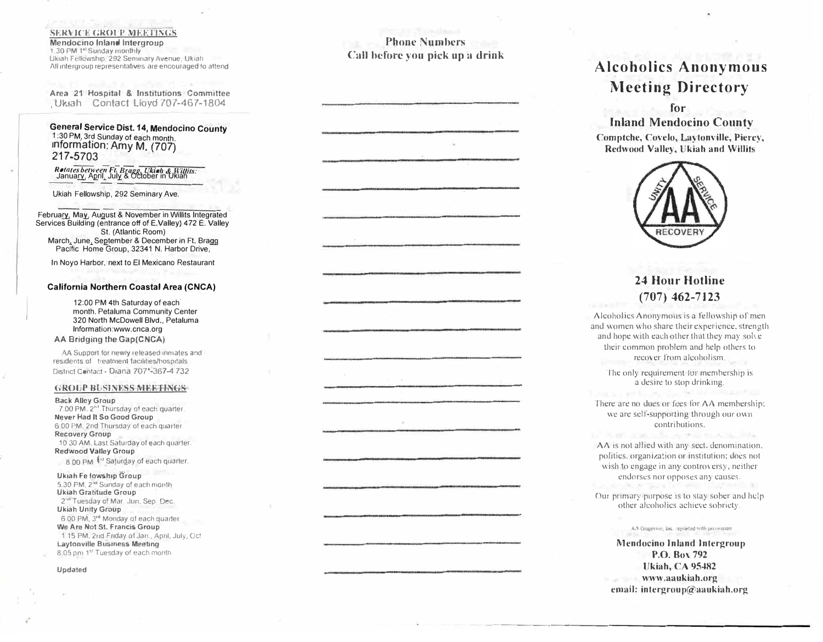### **SERVICE GROUP MEETINGS**

**Mendocino Inland Intergroup**  1.30 PM 1<sup>st</sup> Sunday monthly Ukiah Fellowship. 292 Seminary Avenue, Ukiah All intergroup representatives are encouraged to attend

**Area 21 Hospital** & **Institutions Committee**  , Ukiah Contact Lloyd 707-467-1804

**General Service Dist. 14, Mendocino County** 1 :30 PM\_ , 3rd Sunday of each month. Information: Amy M. (707) 21 7-5703

# Retates between Ft. Bragg, Ukinh & Willits:<br>January, April, July & October in Ukiah

Ukiah Fellowship, 292 Seminary Ave.

February, May, August & November in Willits Integrated Services Building (entrance off of E.Valley) 472 E. Valley St. (Atlantic Room) March: June, September & December in Ft. Bragg Pacific Home Group, 32341 N. Harbor Drive,

In Noye Harbor, next to El Mexicano Restaurant

#### **California Northern Coastal Area (CNCA)**

12:00 PM 4th Saturday of each· month. Petaluma Community Center 320 North McDowell Blvd., Petaluma lnformation:www.cnca.org **AA Bridging the Gap(CNCA)** 

AA Support for newly released inmates and residents of treatment facilities/hospitals District Contact - Diana 707<sup>\*</sup>-367-4 732

#### **GROUP BliSINESS MEETINGS**

**Back Alley Group**  7:00 PM, 2"' Thursday of each quarter. **Never Had II So Good Group**  6:00 PM, 2nd Thursday of each quarter. **Recovery Group**  10.30 AM. Last Saturday of each quarter. **Redwood Valley Group**  8.00 PM <sup>tst</sup> Sajurday of each quarter.

**Ukiah F e lows h1p Gr o u p** 5.30 PM, 2<sup>nd</sup> Sunday of each month **Ukiah Gratitude G roup**  2<sup>16</sup> Tuesday of Mar. Jun, Sep. Dec. **Ukiah Unity Group**  6 00 PM, 3<sup>rd</sup> Monday of each quarter **W e Are Not St. Fran cis Group**  1 15 PM, 2nd Friday of Jan., April, Jul y , Oct **Laytonville Business Meeting** 8:05 pm 1<sup>st</sup> Tuesday of each month

#### **Upda ted**

**Phone Numbers Call before you pick up a drink** 

# **Alcoholics Anonymous Meeting Directory**

## **for**

**Inland Mendocino County Comptche, Covelo, Laytonville, Piercy, Redwood Valley, Ukiah and Willits** 



## **24 Hour Hotline (707) 462-7 l 23**

Alcoholics Anonymous is a fellowship of men and women who share their experience, strength and hope with each other that they may solve their common problem and help others to recover from alcoholism.

The only requirement for membership is a desire to stop drinking.

There are no dues or fees for AA membership: we are self-supporting through our own contributions.

**AA** is not allied with any sect. denomination. politics, organization or institution; does not wish to engage in any controversy, neither endorses nor opposes any causes.

Our primary purpose is to stay sober and help other alcoholics achieve sobriety.

AA Grapevine, Inc. reprinted with permission

**Mendocino Inland Intergroup P.O. Box 792 Ukiah, CA 954R2 www.aaukiah.org email: intergroup@aaukiah.org**